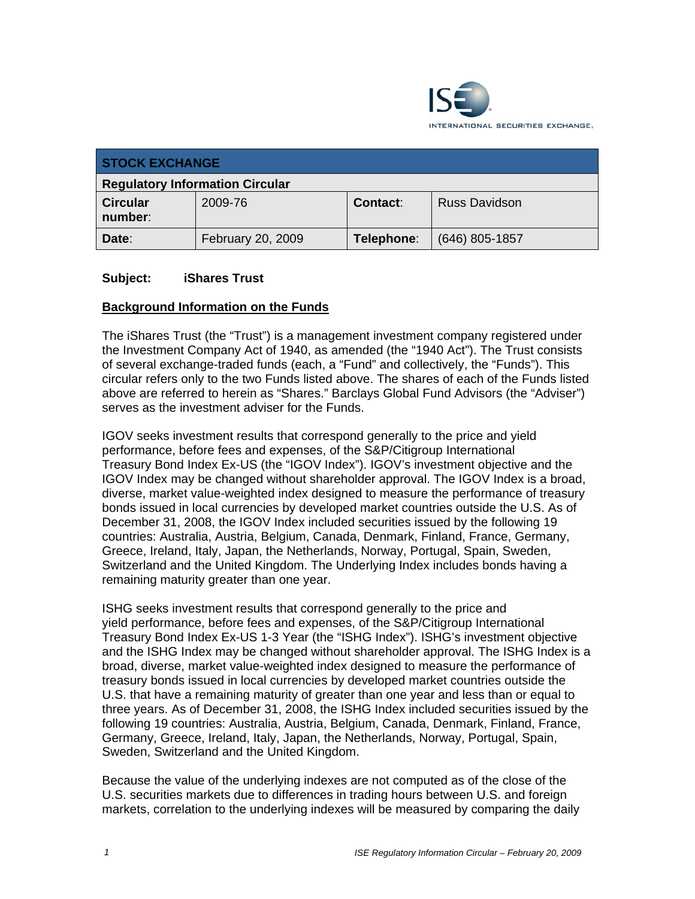

| <b>STOCK EXCHANGE</b>                  |                   |                 |                      |  |  |
|----------------------------------------|-------------------|-----------------|----------------------|--|--|
| <b>Regulatory Information Circular</b> |                   |                 |                      |  |  |
| <b>Circular</b><br>number:             | 2009-76           | <b>Contact:</b> | <b>Russ Davidson</b> |  |  |
| Date:                                  | February 20, 2009 | Telephone:      | $(646)$ 805-1857     |  |  |

#### **Subject: iShares Trust**

#### **Background Information on the Funds**

The iShares Trust (the "Trust") is a management investment company registered under the Investment Company Act of 1940, as amended (the "1940 Act"). The Trust consists of several exchange-traded funds (each, a "Fund" and collectively, the "Funds"). This circular refers only to the two Funds listed above. The shares of each of the Funds listed above are referred to herein as "Shares." Barclays Global Fund Advisors (the "Adviser") serves as the investment adviser for the Funds.

IGOV seeks investment results that correspond generally to the price and yield performance, before fees and expenses, of the S&P/Citigroup International Treasury Bond Index Ex-US (the "IGOV Index"). IGOV's investment objective and the IGOV Index may be changed without shareholder approval. The IGOV Index is a broad, diverse, market value-weighted index designed to measure the performance of treasury bonds issued in local currencies by developed market countries outside the U.S. As of December 31, 2008, the IGOV Index included securities issued by the following 19 countries: Australia, Austria, Belgium, Canada, Denmark, Finland, France, Germany, Greece, Ireland, Italy, Japan, the Netherlands, Norway, Portugal, Spain, Sweden, Switzerland and the United Kingdom. The Underlying Index includes bonds having a remaining maturity greater than one year.

ISHG seeks investment results that correspond generally to the price and yield performance, before fees and expenses, of the S&P/Citigroup International Treasury Bond Index Ex-US 1-3 Year (the "ISHG Index"). ISHG's investment objective and the ISHG Index may be changed without shareholder approval. The ISHG Index is a broad, diverse, market value-weighted index designed to measure the performance of treasury bonds issued in local currencies by developed market countries outside the U.S. that have a remaining maturity of greater than one year and less than or equal to three years. As of December 31, 2008, the ISHG Index included securities issued by the following 19 countries: Australia, Austria, Belgium, Canada, Denmark, Finland, France, Germany, Greece, Ireland, Italy, Japan, the Netherlands, Norway, Portugal, Spain, Sweden, Switzerland and the United Kingdom.

Because the value of the underlying indexes are not computed as of the close of the U.S. securities markets due to differences in trading hours between U.S. and foreign markets, correlation to the underlying indexes will be measured by comparing the daily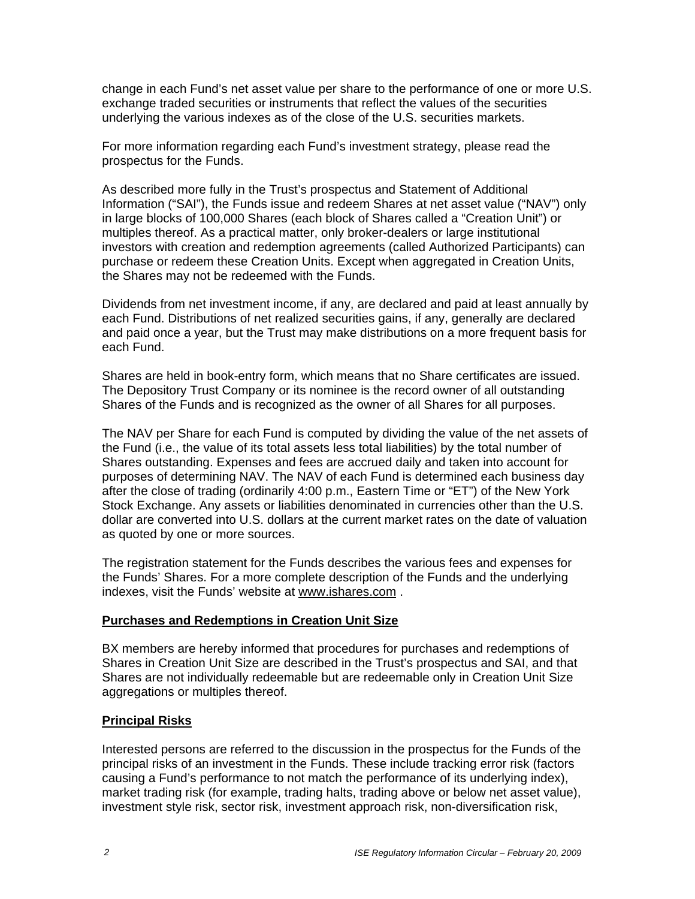change in each Fund's net asset value per share to the performance of one or more U.S. exchange traded securities or instruments that reflect the values of the securities underlying the various indexes as of the close of the U.S. securities markets.

For more information regarding each Fund's investment strategy, please read the prospectus for the Funds.

As described more fully in the Trust's prospectus and Statement of Additional Information ("SAI"), the Funds issue and redeem Shares at net asset value ("NAV") only in large blocks of 100,000 Shares (each block of Shares called a "Creation Unit") or multiples thereof. As a practical matter, only broker-dealers or large institutional investors with creation and redemption agreements (called Authorized Participants) can purchase or redeem these Creation Units. Except when aggregated in Creation Units, the Shares may not be redeemed with the Funds.

Dividends from net investment income, if any, are declared and paid at least annually by each Fund. Distributions of net realized securities gains, if any, generally are declared and paid once a year, but the Trust may make distributions on a more frequent basis for each Fund.

Shares are held in book-entry form, which means that no Share certificates are issued. The Depository Trust Company or its nominee is the record owner of all outstanding Shares of the Funds and is recognized as the owner of all Shares for all purposes.

The NAV per Share for each Fund is computed by dividing the value of the net assets of the Fund (i.e., the value of its total assets less total liabilities) by the total number of Shares outstanding. Expenses and fees are accrued daily and taken into account for purposes of determining NAV. The NAV of each Fund is determined each business day after the close of trading (ordinarily 4:00 p.m., Eastern Time or "ET") of the New York Stock Exchange. Any assets or liabilities denominated in currencies other than the U.S. dollar are converted into U.S. dollars at the current market rates on the date of valuation as quoted by one or more sources.

The registration statement for the Funds describes the various fees and expenses for the Funds' Shares. For a more complete description of the Funds and the underlying indexes, visit the Funds' website at www.ishares.com .

## **Purchases and Redemptions in Creation Unit Size**

BX members are hereby informed that procedures for purchases and redemptions of Shares in Creation Unit Size are described in the Trust's prospectus and SAI, and that Shares are not individually redeemable but are redeemable only in Creation Unit Size aggregations or multiples thereof.

## **Principal Risks**

Interested persons are referred to the discussion in the prospectus for the Funds of the principal risks of an investment in the Funds. These include tracking error risk (factors causing a Fund's performance to not match the performance of its underlying index), market trading risk (for example, trading halts, trading above or below net asset value), investment style risk, sector risk, investment approach risk, non-diversification risk,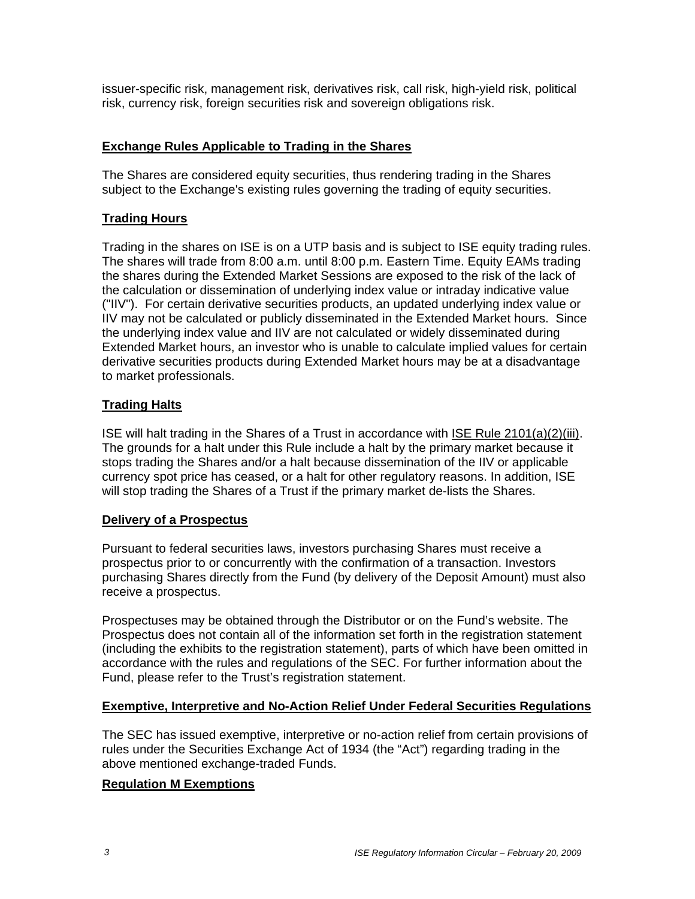issuer-specific risk, management risk, derivatives risk, call risk, high-yield risk, political risk, currency risk, foreign securities risk and sovereign obligations risk.

## **Exchange Rules Applicable to Trading in the Shares**

The Shares are considered equity securities, thus rendering trading in the Shares subject to the Exchange's existing rules governing the trading of equity securities.

### **Trading Hours**

Trading in the shares on ISE is on a UTP basis and is subject to ISE equity trading rules. The shares will trade from 8:00 a.m. until 8:00 p.m. Eastern Time. Equity EAMs trading the shares during the Extended Market Sessions are exposed to the risk of the lack of the calculation or dissemination of underlying index value or intraday indicative value ("IIV"). For certain derivative securities products, an updated underlying index value or IIV may not be calculated or publicly disseminated in the Extended Market hours. Since the underlying index value and IIV are not calculated or widely disseminated during Extended Market hours, an investor who is unable to calculate implied values for certain derivative securities products during Extended Market hours may be at a disadvantage to market professionals.

#### **Trading Halts**

ISE will halt trading in the Shares of a Trust in accordance with ISE Rule 2101(a)(2)(iii). The grounds for a halt under this Rule include a halt by the primary market because it stops trading the Shares and/or a halt because dissemination of the IIV or applicable currency spot price has ceased, or a halt for other regulatory reasons. In addition, ISE will stop trading the Shares of a Trust if the primary market de-lists the Shares.

#### **Delivery of a Prospectus**

Pursuant to federal securities laws, investors purchasing Shares must receive a prospectus prior to or concurrently with the confirmation of a transaction. Investors purchasing Shares directly from the Fund (by delivery of the Deposit Amount) must also receive a prospectus.

Prospectuses may be obtained through the Distributor or on the Fund's website. The Prospectus does not contain all of the information set forth in the registration statement (including the exhibits to the registration statement), parts of which have been omitted in accordance with the rules and regulations of the SEC. For further information about the Fund, please refer to the Trust's registration statement.

#### **Exemptive, Interpretive and No-Action Relief Under Federal Securities Regulations**

The SEC has issued exemptive, interpretive or no-action relief from certain provisions of rules under the Securities Exchange Act of 1934 (the "Act") regarding trading in the above mentioned exchange-traded Funds.

#### **Regulation M Exemptions**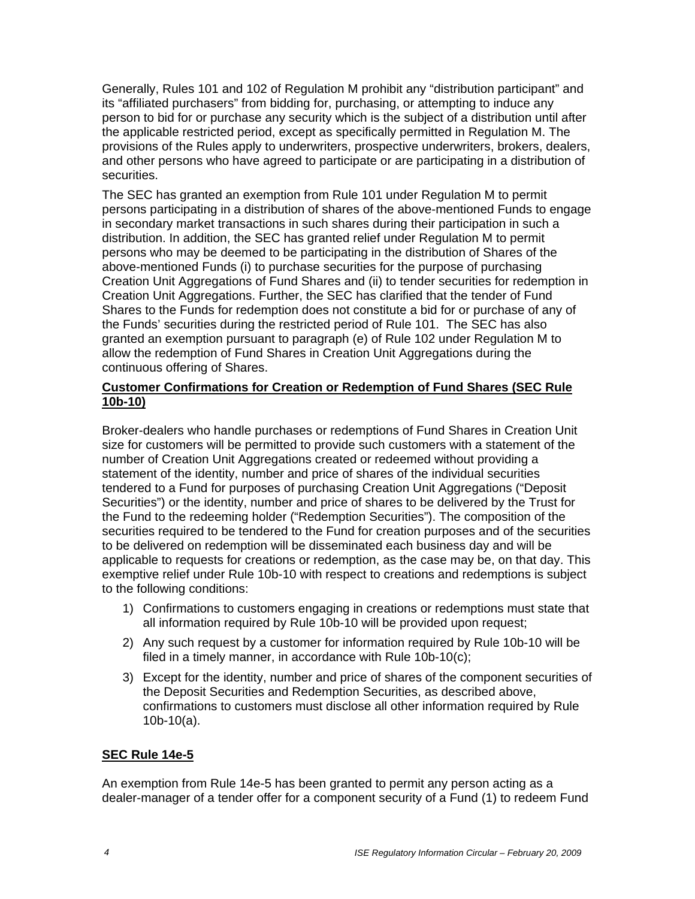Generally, Rules 101 and 102 of Regulation M prohibit any "distribution participant" and its "affiliated purchasers" from bidding for, purchasing, or attempting to induce any person to bid for or purchase any security which is the subject of a distribution until after the applicable restricted period, except as specifically permitted in Regulation M. The provisions of the Rules apply to underwriters, prospective underwriters, brokers, dealers, and other persons who have agreed to participate or are participating in a distribution of securities.

The SEC has granted an exemption from Rule 101 under Regulation M to permit persons participating in a distribution of shares of the above-mentioned Funds to engage in secondary market transactions in such shares during their participation in such a distribution. In addition, the SEC has granted relief under Regulation M to permit persons who may be deemed to be participating in the distribution of Shares of the above-mentioned Funds (i) to purchase securities for the purpose of purchasing Creation Unit Aggregations of Fund Shares and (ii) to tender securities for redemption in Creation Unit Aggregations. Further, the SEC has clarified that the tender of Fund Shares to the Funds for redemption does not constitute a bid for or purchase of any of the Funds' securities during the restricted period of Rule 101. The SEC has also granted an exemption pursuant to paragraph (e) of Rule 102 under Regulation M to allow the redemption of Fund Shares in Creation Unit Aggregations during the continuous offering of Shares.

## **Customer Confirmations for Creation or Redemption of Fund Shares (SEC Rule 10b-10)**

Broker-dealers who handle purchases or redemptions of Fund Shares in Creation Unit size for customers will be permitted to provide such customers with a statement of the number of Creation Unit Aggregations created or redeemed without providing a statement of the identity, number and price of shares of the individual securities tendered to a Fund for purposes of purchasing Creation Unit Aggregations ("Deposit Securities") or the identity, number and price of shares to be delivered by the Trust for the Fund to the redeeming holder ("Redemption Securities"). The composition of the securities required to be tendered to the Fund for creation purposes and of the securities to be delivered on redemption will be disseminated each business day and will be applicable to requests for creations or redemption, as the case may be, on that day. This exemptive relief under Rule 10b-10 with respect to creations and redemptions is subject to the following conditions:

- 1) Confirmations to customers engaging in creations or redemptions must state that all information required by Rule 10b-10 will be provided upon request;
- 2) Any such request by a customer for information required by Rule 10b-10 will be filed in a timely manner, in accordance with Rule 10b-10(c);
- 3) Except for the identity, number and price of shares of the component securities of the Deposit Securities and Redemption Securities, as described above, confirmations to customers must disclose all other information required by Rule 10b-10(a).

## **SEC Rule 14e-5**

An exemption from Rule 14e-5 has been granted to permit any person acting as a dealer-manager of a tender offer for a component security of a Fund (1) to redeem Fund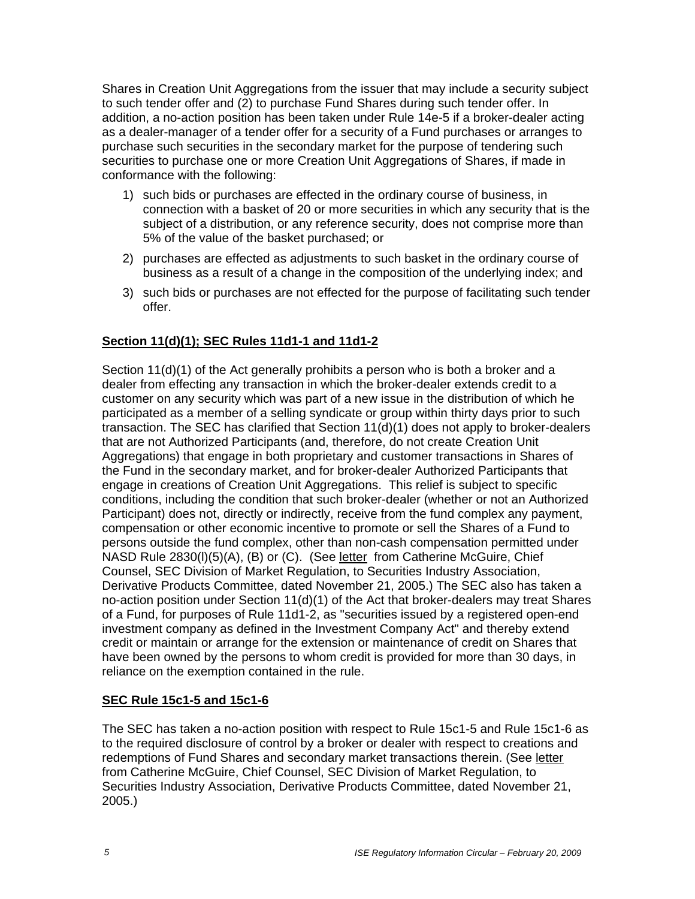Shares in Creation Unit Aggregations from the issuer that may include a security subject to such tender offer and (2) to purchase Fund Shares during such tender offer. In addition, a no-action position has been taken under Rule 14e-5 if a broker-dealer acting as a dealer-manager of a tender offer for a security of a Fund purchases or arranges to purchase such securities in the secondary market for the purpose of tendering such securities to purchase one or more Creation Unit Aggregations of Shares, if made in conformance with the following:

- 1) such bids or purchases are effected in the ordinary course of business, in connection with a basket of 20 or more securities in which any security that is the subject of a distribution, or any reference security, does not comprise more than 5% of the value of the basket purchased; or
- 2) purchases are effected as adjustments to such basket in the ordinary course of business as a result of a change in the composition of the underlying index; and
- 3) such bids or purchases are not effected for the purpose of facilitating such tender offer.

# **Section 11(d)(1); SEC Rules 11d1-1 and 11d1-2**

Section 11(d)(1) of the Act generally prohibits a person who is both a broker and a dealer from effecting any transaction in which the broker-dealer extends credit to a customer on any security which was part of a new issue in the distribution of which he participated as a member of a selling syndicate or group within thirty days prior to such transaction. The SEC has clarified that Section 11(d)(1) does not apply to broker-dealers that are not Authorized Participants (and, therefore, do not create Creation Unit Aggregations) that engage in both proprietary and customer transactions in Shares of the Fund in the secondary market, and for broker-dealer Authorized Participants that engage in creations of Creation Unit Aggregations. This relief is subject to specific conditions, including the condition that such broker-dealer (whether or not an Authorized Participant) does not, directly or indirectly, receive from the fund complex any payment, compensation or other economic incentive to promote or sell the Shares of a Fund to persons outside the fund complex, other than non-cash compensation permitted under NASD Rule 2830(l)(5)(A), (B) or (C). (See letter from Catherine McGuire, Chief Counsel, SEC Division of Market Regulation, to Securities Industry Association, Derivative Products Committee, dated November 21, 2005.) The SEC also has taken a no-action position under Section 11(d)(1) of the Act that broker-dealers may treat Shares of a Fund, for purposes of Rule 11d1-2, as "securities issued by a registered open-end investment company as defined in the Investment Company Act" and thereby extend credit or maintain or arrange for the extension or maintenance of credit on Shares that have been owned by the persons to whom credit is provided for more than 30 days, in reliance on the exemption contained in the rule.

# **SEC Rule 15c1-5 and 15c1-6**

The SEC has taken a no-action position with respect to Rule 15c1-5 and Rule 15c1-6 as to the required disclosure of control by a broker or dealer with respect to creations and redemptions of Fund Shares and secondary market transactions therein. (See letter from Catherine McGuire, Chief Counsel, SEC Division of Market Regulation, to Securities Industry Association, Derivative Products Committee, dated November 21, 2005.)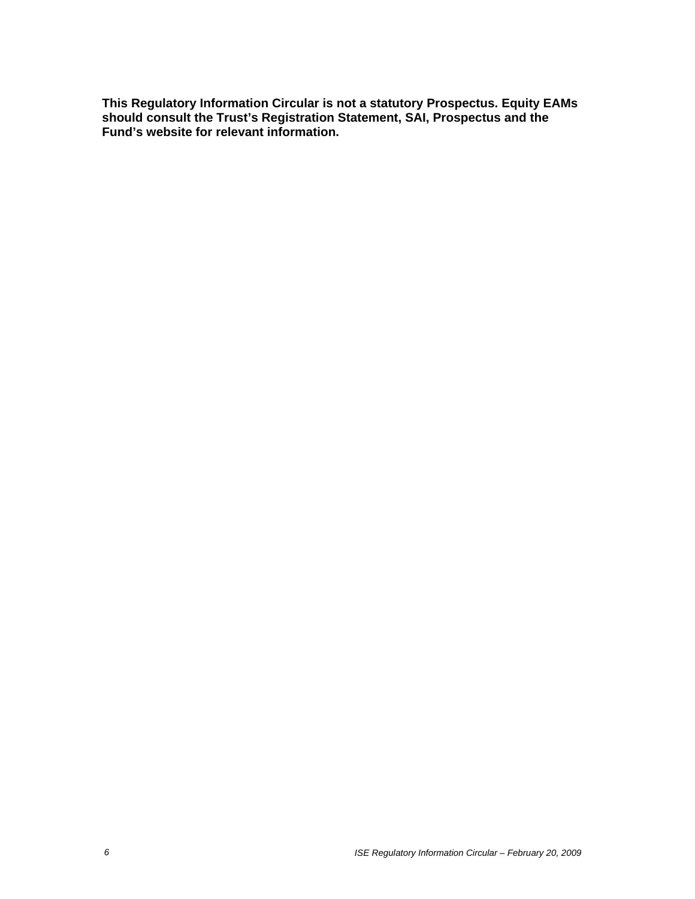**This Regulatory Information Circular is not a statutory Prospectus. Equity EAMs should consult the Trust's Registration Statement, SAI, Prospectus and the Fund's website for relevant information.**